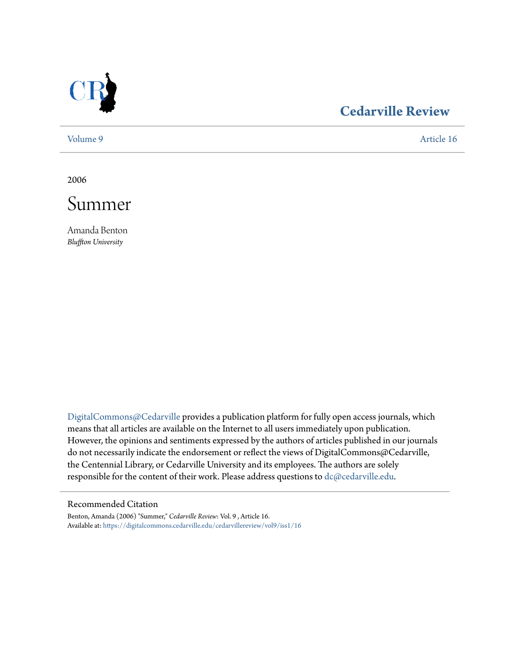

# **[Cedarville Review](https://digitalcommons.cedarville.edu/cedarvillereview?utm_source=digitalcommons.cedarville.edu%2Fcedarvillereview%2Fvol9%2Fiss1%2F16&utm_medium=PDF&utm_campaign=PDFCoverPages)**

[Volume 9](https://digitalcommons.cedarville.edu/cedarvillereview/vol9?utm_source=digitalcommons.cedarville.edu%2Fcedarvillereview%2Fvol9%2Fiss1%2F16&utm_medium=PDF&utm_campaign=PDFCoverPages) [Article 16](https://digitalcommons.cedarville.edu/cedarvillereview/vol9/iss1/16?utm_source=digitalcommons.cedarville.edu%2Fcedarvillereview%2Fvol9%2Fiss1%2F16&utm_medium=PDF&utm_campaign=PDFCoverPages)

2006



Amanda Benton *Bluffton University*

[DigitalCommons@Cedarville](http://digitalcommons.cedarville.edu) provides a publication platform for fully open access journals, which means that all articles are available on the Internet to all users immediately upon publication. However, the opinions and sentiments expressed by the authors of articles published in our journals do not necessarily indicate the endorsement or reflect the views of DigitalCommons@Cedarville, the Centennial Library, or Cedarville University and its employees. The authors are solely responsible for the content of their work. Please address questions to [dc@cedarville.edu](mailto:dc@cedarville.edu).

#### Recommended Citation

Benton, Amanda (2006) "Summer," *Cedarville Review*: Vol. 9 , Article 16. Available at: [https://digitalcommons.cedarville.edu/cedarvillereview/vol9/iss1/16](https://digitalcommons.cedarville.edu/cedarvillereview/vol9/iss1/16?utm_source=digitalcommons.cedarville.edu%2Fcedarvillereview%2Fvol9%2Fiss1%2F16&utm_medium=PDF&utm_campaign=PDFCoverPages)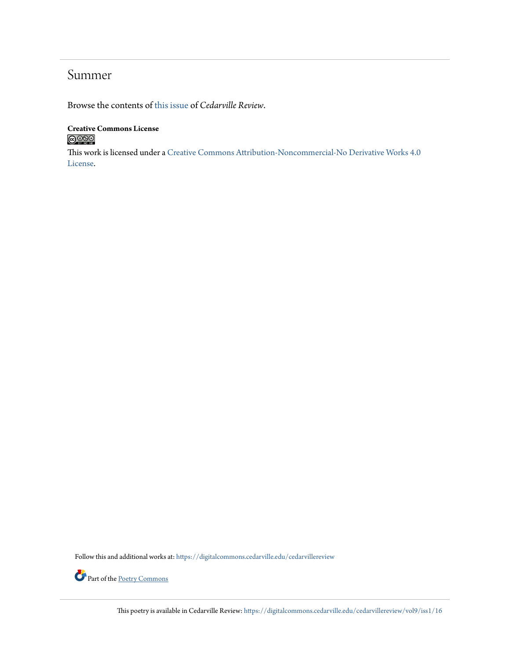## Summer

Browse the contents of [this issue](https://digitalcommons.cedarville.edu/cedarvillereview/vol9/iss1) of *Cedarville Review*.

### **Creative Commons License**  $\bigcirc$  000

This work is licensed under a [Creative Commons Attribution-Noncommercial-No Derivative Works 4.0](http://creativecommons.org/licenses/by-nc-nd/4.0/) [License.](http://creativecommons.org/licenses/by-nc-nd/4.0/)

Follow this and additional works at: [https://digitalcommons.cedarville.edu/cedarvillereview](https://digitalcommons.cedarville.edu/cedarvillereview?utm_source=digitalcommons.cedarville.edu%2Fcedarvillereview%2Fvol9%2Fiss1%2F16&utm_medium=PDF&utm_campaign=PDFCoverPages)



This poetry is available in Cedarville Review: [https://digitalcommons.cedarville.edu/cedarvillereview/vol9/iss1/16](https://digitalcommons.cedarville.edu/cedarvillereview/vol9/iss1/16?utm_source=digitalcommons.cedarville.edu%2Fcedarvillereview%2Fvol9%2Fiss1%2F16&utm_medium=PDF&utm_campaign=PDFCoverPages)